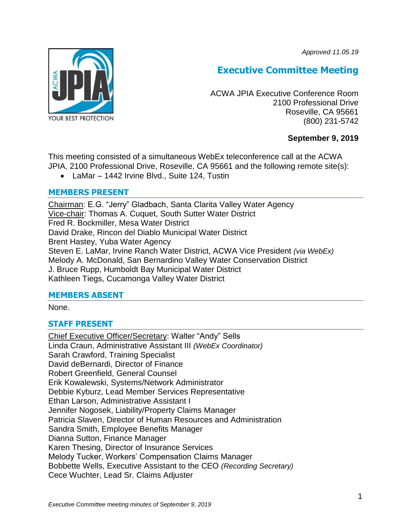*Approved 11.05.19*



# **Executive Committee Meeting**

ACWA JPIA Executive Conference Room 2100 Professional Drive Roseville, CA 95661 (800) 231-5742

# **September 9, 2019**

This meeting consisted of a simultaneous WebEx teleconference call at the ACWA JPIA, 2100 Professional Drive, Roseville, CA 95661 and the following remote site(s):

• LaMar – 1442 Irvine Blvd., Suite 124, Tustin

# **MEMBERS PRESENT**

Chairman: E.G. "Jerry" Gladbach, Santa Clarita Valley Water Agency Vice-chair: Thomas A. Cuquet, South Sutter Water District Fred R. Bockmiller, Mesa Water District David Drake, Rincon del Diablo Municipal Water District Brent Hastey, Yuba Water Agency Steven E. LaMar, Irvine Ranch Water District, ACWA Vice President *(via WebEx)* Melody A. McDonald, San Bernardino Valley Water Conservation District J. Bruce Rupp, Humboldt Bay Municipal Water District Kathleen Tiegs, Cucamonga Valley Water District

# **MEMBERS ABSENT**

None.

# **STAFF PRESENT**

Chief Executive Officer/Secretary: Walter "Andy" Sells Linda Craun, Administrative Assistant III *(WebEx Coordinator)* Sarah Crawford, Training Specialist David deBernardi, Director of Finance Robert Greenfield, General Counsel Erik Kowalewski, Systems/Network Administrator Debbie Kyburz, Lead Member Services Representative Ethan Larson, Administrative Assistant I Jennifer Nogosek, Liability/Property Claims Manager Patricia Slaven, Director of Human Resources and Administration Sandra Smith, Employee Benefits Manager Dianna Sutton, Finance Manager Karen Thesing, Director of Insurance Services Melody Tucker, Workers' Compensation Claims Manager Bobbette Wells, Executive Assistant to the CEO *(Recording Secretary)* Cece Wuchter, Lead Sr. Claims Adjuster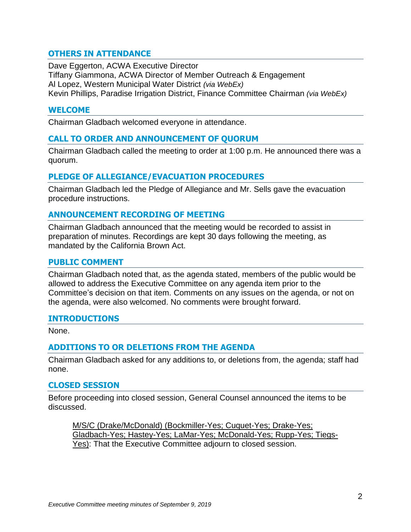# **OTHERS IN ATTENDANCE**

Dave Eggerton, ACWA Executive Director Tiffany Giammona, ACWA Director of Member Outreach & Engagement Al Lopez, Western Municipal Water District *(via WebEx)* Kevin Phillips, Paradise Irrigation District, Finance Committee Chairman *(via WebEx)*

### **WELCOME**

Chairman Gladbach welcomed everyone in attendance.

# **CALL TO ORDER AND ANNOUNCEMENT OF QUORUM**

Chairman Gladbach called the meeting to order at 1:00 p.m. He announced there was a quorum.

### **PLEDGE OF ALLEGIANCE/EVACUATION PROCEDURES**

Chairman Gladbach led the Pledge of Allegiance and Mr. Sells gave the evacuation procedure instructions.

### **ANNOUNCEMENT RECORDING OF MEETING**

Chairman Gladbach announced that the meeting would be recorded to assist in preparation of minutes. Recordings are kept 30 days following the meeting, as mandated by the California Brown Act.

### **PUBLIC COMMENT**

Chairman Gladbach noted that, as the agenda stated, members of the public would be allowed to address the Executive Committee on any agenda item prior to the Committee's decision on that item. Comments on any issues on the agenda, or not on the agenda, were also welcomed. No comments were brought forward.

### **INTRODUCTIONS**

None.

# **ADDITIONS TO OR DELETIONS FROM THE AGENDA**

Chairman Gladbach asked for any additions to, or deletions from, the agenda; staff had none.

### **CLOSED SESSION**

Before proceeding into closed session, General Counsel announced the items to be discussed.

M/S/C (Drake/McDonald) (Bockmiller-Yes; Cuquet-Yes; Drake-Yes; Gladbach-Yes; Hastey-Yes; LaMar-Yes; McDonald-Yes; Rupp-Yes; Tiegs-Yes): That the Executive Committee adjourn to closed session.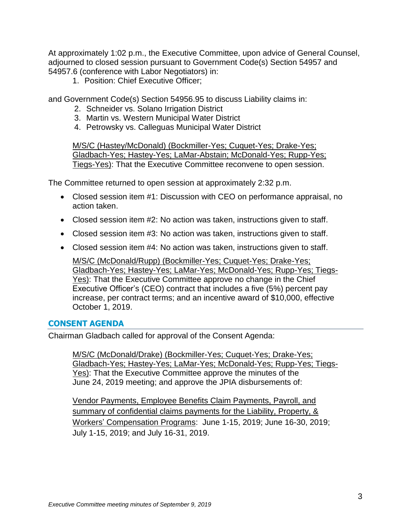At approximately 1:02 p.m., the Executive Committee, upon advice of General Counsel, adjourned to closed session pursuant to Government Code(s) Section 54957 and 54957.6 (conference with Labor Negotiators) in:

1. Position: Chief Executive Officer;

and Government Code(s) Section 54956.95 to discuss Liability claims in:

- 2. Schneider vs. Solano Irrigation District
- 3. Martin vs. Western Municipal Water District
- 4. Petrowsky vs. Calleguas Municipal Water District

M/S/C (Hastey/McDonald) (Bockmiller-Yes; Cuquet-Yes; Drake-Yes; Gladbach-Yes; Hastey-Yes; LaMar-Abstain; McDonald-Yes; Rupp-Yes; Tiegs-Yes): That the Executive Committee reconvene to open session.

The Committee returned to open session at approximately 2:32 p.m.

- Closed session item #1: Discussion with CEO on performance appraisal, no action taken.
- Closed session item #2: No action was taken, instructions given to staff.
- Closed session item #3: No action was taken, instructions given to staff.
- Closed session item #4: No action was taken, instructions given to staff.

M/S/C (McDonald/Rupp) (Bockmiller-Yes; Cuquet-Yes; Drake-Yes; Gladbach-Yes; Hastey-Yes; LaMar-Yes; McDonald-Yes; Rupp-Yes; Tiegs-Yes): That the Executive Committee approve no change in the Chief Executive Officer's (CEO) contract that includes a five (5%) percent pay increase, per contract terms; and an incentive award of \$10,000, effective October 1, 2019.

# **CONSENT AGENDA**

Chairman Gladbach called for approval of the Consent Agenda:

M/S/C (McDonald/Drake) (Bockmiller-Yes; Cuquet-Yes; Drake-Yes; Gladbach-Yes; Hastey-Yes; LaMar-Yes; McDonald-Yes; Rupp-Yes; Tiegs-Yes): That the Executive Committee approve the minutes of the June 24, 2019 meeting; and approve the JPIA disbursements of:

Vendor Payments, Employee Benefits Claim Payments, Payroll, and summary of confidential claims payments for the Liability, Property, & Workers' Compensation Programs: June 1-15, 2019; June 16-30, 2019; July 1-15, 2019; and July 16-31, 2019.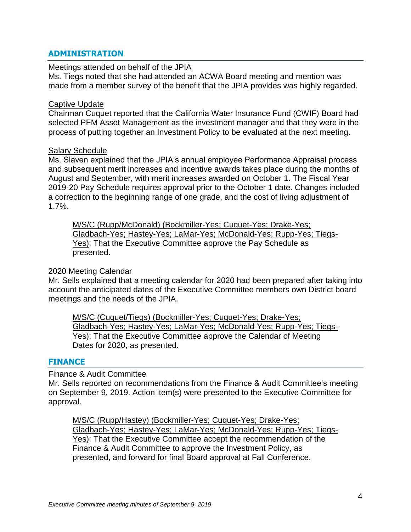# **ADMINISTRATION**

### Meetings attended on behalf of the JPIA

Ms. Tiegs noted that she had attended an ACWA Board meeting and mention was made from a member survey of the benefit that the JPIA provides was highly regarded.

### Captive Update

Chairman Cuquet reported that the California Water Insurance Fund (CWIF) Board had selected PFM Asset Management as the investment manager and that they were in the process of putting together an Investment Policy to be evaluated at the next meeting.

### Salary Schedule

Ms. Slaven explained that the JPIA's annual employee Performance Appraisal process and subsequent merit increases and incentive awards takes place during the months of August and September, with merit increases awarded on October 1. The Fiscal Year 2019-20 Pay Schedule requires approval prior to the October 1 date. Changes included a correction to the beginning range of one grade, and the cost of living adjustment of 1.7%.

M/S/C (Rupp/McDonald) (Bockmiller-Yes; Cuquet-Yes; Drake-Yes; Gladbach-Yes; Hastey-Yes; LaMar-Yes; McDonald-Yes; Rupp-Yes; Tiegs-Yes): That the Executive Committee approve the Pay Schedule as presented.

### 2020 Meeting Calendar

Mr. Sells explained that a meeting calendar for 2020 had been prepared after taking into account the anticipated dates of the Executive Committee members own District board meetings and the needs of the JPIA.

M/S/C (Cuquet/Tiegs) (Bockmiller-Yes; Cuquet-Yes; Drake-Yes; Gladbach-Yes; Hastey-Yes; LaMar-Yes; McDonald-Yes; Rupp-Yes; Tiegs-Yes): That the Executive Committee approve the Calendar of Meeting Dates for 2020, as presented.

# **FINANCE**

# Finance & Audit Committee

Mr. Sells reported on recommendations from the Finance & Audit Committee's meeting on September 9, 2019. Action item(s) were presented to the Executive Committee for approval.

M/S/C (Rupp/Hastey) (Bockmiller-Yes; Cuquet-Yes; Drake-Yes; Gladbach-Yes; Hastey-Yes; LaMar-Yes; McDonald-Yes; Rupp-Yes; Tiegs-Yes): That the Executive Committee accept the recommendation of the Finance & Audit Committee to approve the Investment Policy, as presented, and forward for final Board approval at Fall Conference.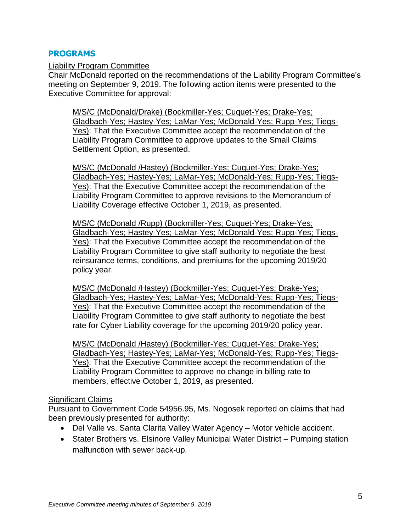### **PROGRAMS**

#### Liability Program Committee

Chair McDonald reported on the recommendations of the Liability Program Committee's meeting on September 9, 2019. The following action items were presented to the Executive Committee for approval:

M/S/C (McDonald/Drake) (Bockmiller-Yes; Cuquet-Yes; Drake-Yes; Gladbach-Yes; Hastey-Yes; LaMar-Yes; McDonald-Yes; Rupp-Yes; Tiegs-Yes): That the Executive Committee accept the recommendation of the Liability Program Committee to approve updates to the Small Claims Settlement Option, as presented.

M/S/C (McDonald /Hastey) (Bockmiller-Yes; Cuquet-Yes; Drake-Yes; Gladbach-Yes; Hastey-Yes; LaMar-Yes; McDonald-Yes; Rupp-Yes; Tiegs-Yes): That the Executive Committee accept the recommendation of the Liability Program Committee to approve revisions to the Memorandum of Liability Coverage effective October 1, 2019, as presented.

M/S/C (McDonald /Rupp) (Bockmiller-Yes; Cuquet-Yes; Drake-Yes; Gladbach-Yes; Hastey-Yes; LaMar-Yes; McDonald-Yes; Rupp-Yes; Tiegs-Yes): That the Executive Committee accept the recommendation of the Liability Program Committee to give staff authority to negotiate the best reinsurance terms, conditions, and premiums for the upcoming 2019/20 policy year.

M/S/C (McDonald /Hastey) (Bockmiller-Yes; Cuquet-Yes; Drake-Yes; Gladbach-Yes; Hastey-Yes; LaMar-Yes; McDonald-Yes; Rupp-Yes; Tiegs-Yes): That the Executive Committee accept the recommendation of the Liability Program Committee to give staff authority to negotiate the best rate for Cyber Liability coverage for the upcoming 2019/20 policy year.

M/S/C (McDonald /Hastey) (Bockmiller-Yes; Cuquet-Yes; Drake-Yes; Gladbach-Yes; Hastey-Yes; LaMar-Yes; McDonald-Yes; Rupp-Yes; Tiegs-Yes): That the Executive Committee accept the recommendation of the Liability Program Committee to approve no change in billing rate to members, effective October 1, 2019, as presented.

## **Significant Claims**

Pursuant to Government Code 54956.95, Ms. Nogosek reported on claims that had been previously presented for authority:

- Del Valle vs. Santa Clarita Valley Water Agency Motor vehicle accident.
- Stater Brothers vs. Elsinore Valley Municipal Water District Pumping station malfunction with sewer back-up.